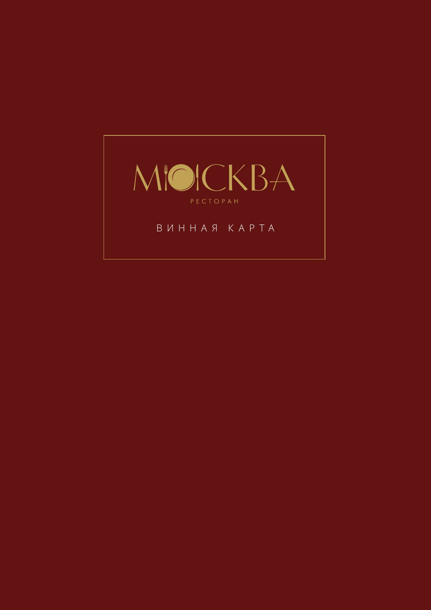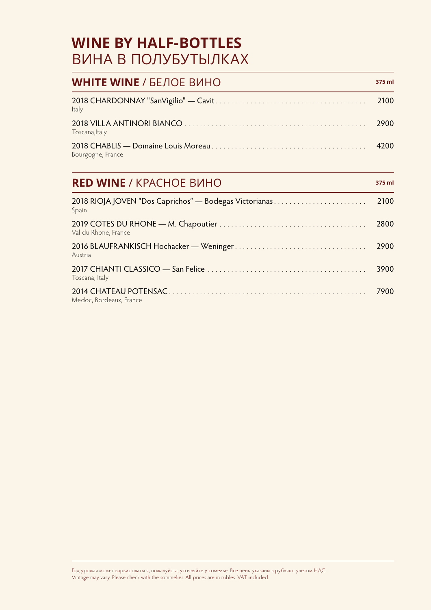#### **WINE BY HALF-BOTTLES** ВИНА В ПОЛУБУТЫЛКАХ

| <b>WHITE WINE / БЕЛОЕ ВИНО</b>                                                                                                                                                                                                                                                                                                                                            | 375 ml |
|---------------------------------------------------------------------------------------------------------------------------------------------------------------------------------------------------------------------------------------------------------------------------------------------------------------------------------------------------------------------------|--------|
| Italy                                                                                                                                                                                                                                                                                                                                                                     | 2100   |
| Toscana, Italy                                                                                                                                                                                                                                                                                                                                                            | 2900   |
| Bourgogne, France                                                                                                                                                                                                                                                                                                                                                         | 4200   |
| <b>RED WINE / KPACHOE BUHO</b>                                                                                                                                                                                                                                                                                                                                            | 375 ml |
| $2010$ $D[$ $\bigcap I$ $\bigcap$ $I$ $\bigcap$ $I$ $\bigcap$ $\bigcap$ $\bigcap$ $\bigcap$ $\bigcap$ $\bigcap$ $\bigcap$ $\bigcap$ $\bigcap$ $\bigcap$ $\bigcap$ $\bigcap$ $\bigcap$ $\bigcap$ $\bigcap$ $\bigcap$ $\bigcap$ $\bigcap$ $\bigcap$ $\bigcap$ $\bigcap$ $\bigcap$ $\bigcap$ $\bigcap$ $\bigcap$ $\bigcap$ $\bigcap$ $\bigcap$ $\bigcap$ $\bigcap$ $\bigcap$ | 2100   |

| Spain                   |      |
|-------------------------|------|
| Val du Rhone, France    | 2800 |
| Austria                 | 2900 |
| Toscana, Italy          | 3900 |
| Medoc, Bordeaux, France | 7900 |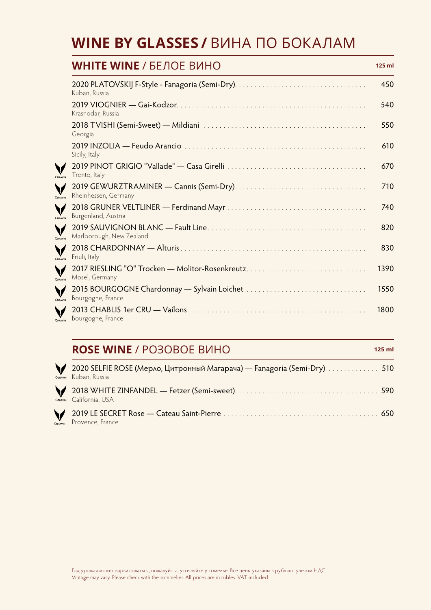#### **WINE BY GLASSES /**ВИНА ПО БОКАЛАМ

|         | <b>WHITE WINE /</b> БЕЛОЕ ВИНО                                    | $125$ ml |
|---------|-------------------------------------------------------------------|----------|
|         | Kuban, Russia                                                     | 450      |
|         | Krasnodar, Russia                                                 | 540      |
|         | Georgia                                                           | 550      |
|         | Sicily, Italy                                                     | 610      |
| CORAVIN | Trento, Italy                                                     | 670      |
| CORAVIN | Rheinhessen, Germany                                              | 710      |
| CORAVIN | Burgenland, Austria                                               | 740      |
| CORAVIN | Marlborough, New Zealand                                          | 820      |
| CORAVIN | Friuli, Italy                                                     | 830      |
| CORAVIN | 2017 RIESLING "O" Trocken - Molitor-Rosenkreutz<br>Mosel, Germany | 1390     |
| CORAVIN | Bourgogne, France                                                 | 1550     |
| CORAVIN | Bourgogne, France                                                 | 1800     |

#### **ROSE WINE** / PO3OBOE BИНО **125 ml**

2020 SELFIE ROSE (Мерло, Цитронный Магарача) — Fanagoria (Semi-Dry) ............. 510 **V**<br>CORAVIN Kuban, Russia 2018 WHITE ZINFANDEL — Fetzer (Semi-sweet) ..................................... 590 V California, USA CORAVIN 2019 LE SECRET Rose — Cateau Saint-Pierre ........................................ 650 V. Provence, France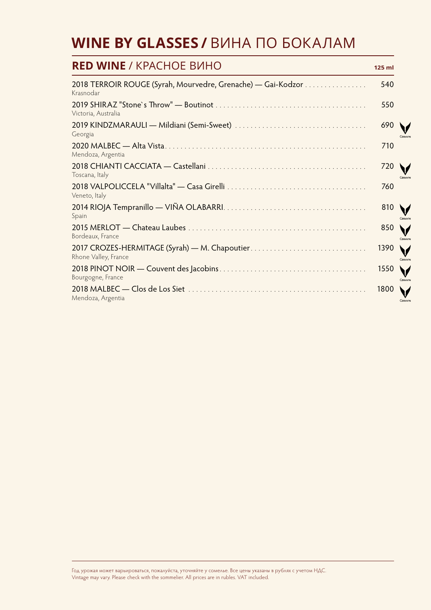#### **WINE BY GLASSES /**ВИНА ПО БОКАЛАМ

| <b>RED WINE / KPACHOE BUHO</b>                                            | $125$ ml |                               |
|---------------------------------------------------------------------------|----------|-------------------------------|
| 2018 TERROIR ROUGE (Syrah, Mourvedre, Grenache) — Gai-Kodzor<br>Krasnodar | 540      |                               |
| Victoria, Australia                                                       | 550      |                               |
| Georgia                                                                   | 690      | CORAV                         |
| Mendoza, Argentia                                                         | 710      |                               |
| Toscana, Italy                                                            | 720      | CORAV                         |
| Veneto, Italy                                                             | 760      |                               |
| Spain                                                                     | 810      | CORAV                         |
| Bordeaux, France                                                          | 850      | CORAV                         |
| Rhone Valley, France                                                      | 1390     | $\blacktriangledown$<br>CORAV |
| Bourgogne, France                                                         | 1550     | V<br>CORAV                    |
| Mendoza, Argentia                                                         | 1800     | CORAV                         |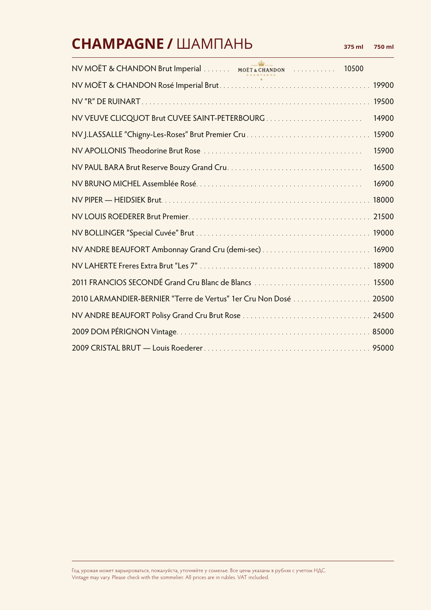## **CHAMPAGNE /**ШАМПАНЬ **375 ml 750 ml**

| NV MOËT & CHANDON Brut Imperial MOËT & CHANDON 10500             |       |
|------------------------------------------------------------------|-------|
|                                                                  | 19900 |
|                                                                  | 19500 |
| NV VEUVE CLICQUOT Brut CUVEE SAINT-PETERBOURG                    | 14900 |
|                                                                  | 15900 |
|                                                                  | 15900 |
|                                                                  | 16500 |
|                                                                  | 16900 |
|                                                                  | 18000 |
|                                                                  | 21500 |
|                                                                  |       |
|                                                                  | 16900 |
|                                                                  | 18900 |
| 2011 FRANCIOS SECONDÉ Grand Cru Blanc de Blancs                  | 15500 |
| 2010 LARMANDIER-BERNIER "Terre de Vertus" 1er Cru Non Dosé 20500 |       |
|                                                                  | 24500 |
|                                                                  |       |
|                                                                  |       |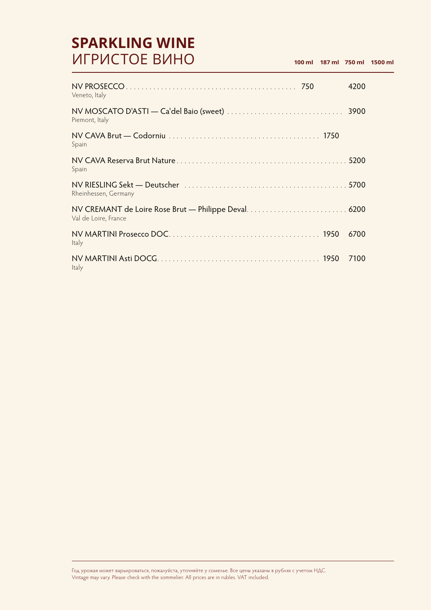#### **SPARKLING WINE** ИГРИСТОЕ ВИНО **100 ml 187 ml 750 ml 1500 ml**

| Veneto, Italy        | 4200 |
|----------------------|------|
| Piemont, Italy       |      |
| Spain                |      |
| Spain                |      |
| Rheinhessen, Germany |      |
| Val de Loire, France |      |
| Italy                | 6700 |
| Italy                | 7100 |

Год урожая может варьироваться, пожалуйста, уточняйте у сомелье. Все цены указаны в рублях с учетом НДС. Vintage may vary. Please check with the sommelier. All prices are in rubles. VAT included.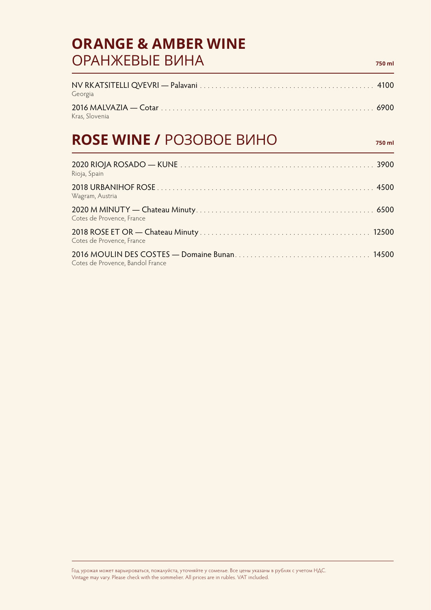#### **ORANGE & AMBER WINE** ОРАНЖЕВЫЕ ВИНА **750 ml**

NV RKATSITELLI QVEVRI — Palavani ............................................. 4100 Georgia 2016 MALVAZIA — Cotar ....................................................... 6900 Kras, Slovenia

#### **ROSE WINE / PO3OBOE BI/IHO**

| Rioja, Spain                     |  |
|----------------------------------|--|
| Wagram, Austria                  |  |
| Cotes de Provence, France        |  |
| Cotes de Provence, France        |  |
| Cotes de Provence, Bandol France |  |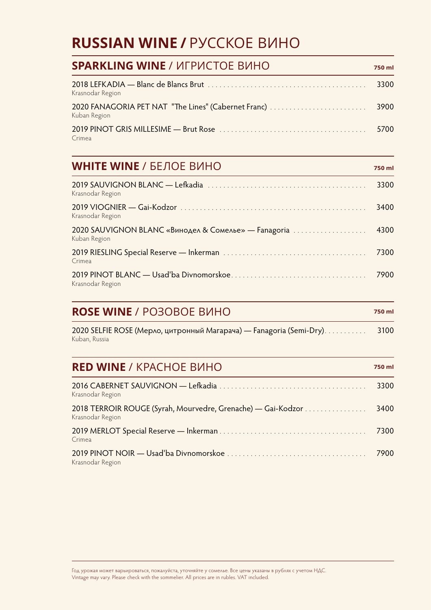#### **RUSSIAN WINE /**РУССКОЕ ВИНО

| <b>SPARKLING WINE / ИГРИСТОЕ ВИНО</b>                               | 750 ml |
|---------------------------------------------------------------------|--------|
| Krasnodar Region                                                    | 3300   |
| 2020 FANAGORIA PET NAT "The Lines" (Cabernet Franc)<br>Kuban Region | 3900   |
| Crimea                                                              | 5700   |

#### **WHITE WINE** / БЕЛОЕ ВИНО *750 ml*

| Krasnodar Region                                                     | 3300 |
|----------------------------------------------------------------------|------|
| Krasnodar Region                                                     | 3400 |
| 2020 SAUVIGNON BLANC «Винодел & Сомелье» — Fanagoria<br>Kuban Region | 4300 |
| Crimea                                                               | 7300 |
| Krasnodar Region                                                     | 7900 |

#### **ROSE WINE** / PO3OBOE BИНО **750 ml**

| 2020 SELFIE ROSE (Мерло, цитронный Магарача) — Fanagoria (Semi-Dry). | 3100 |
|----------------------------------------------------------------------|------|
| Kuban, Russia                                                        |      |

#### **RED WINE** / KPACHOE BUHO **750 ml**

| Krasnodar Region                                                                 | 3300 |
|----------------------------------------------------------------------------------|------|
| 2018 TERROIR ROUGE (Syrah, Mourvedre, Grenache) - Gai-Kodzor<br>Krasnodar Region | 3400 |
| Crimea                                                                           | 7300 |
| Krasnodar Region                                                                 | 7900 |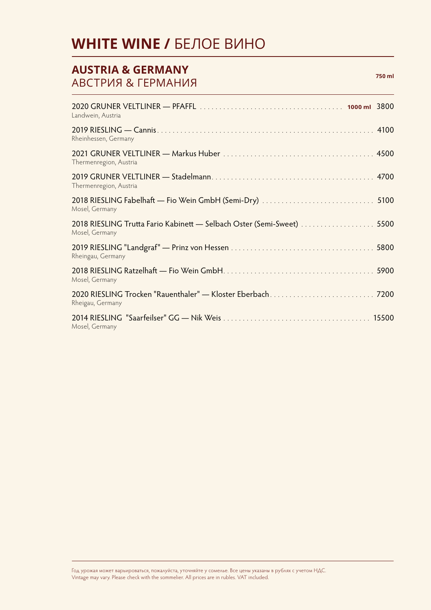#### **WHITE WINE /** БЕЛОЕ ВИНО

#### **AUSTRIA & GERMANY** АВСТРИЯ & ГЕРМАНИЯ **750 ml** 2020 GRUNER VELTLINER — PFAFFL ..................................... **1000 ml** 3800 Landwein, Austria 2019 RIESLING — Cannis ........................................................ 4100 Rheinhessen, Germany 2021 GRUNER VELTLINER — Markus Huber ....................................... 4500 Thermenregion, Austria 2019 GRUNER VELTLINER — Stadelmann .......................................... 4700 Thermenregion, Austria 2018 RIESLING Fabelhaft — Fio Wein GmbH (Semi-Dry) ............................. 5100 Mosel, Germany 2018 RIESLING Trutta Fario Kabinett — Selbach Oster (Semi-Sweet) ....................... 5500 Mosel, Germany 2019 RIESLING "Landgraf" — Prinz von Hessen ..................................... 5800 Rheingau, Germany 2018 RIESLING Ratzelhaft — Fio Wein GmbH ....................................... 5900 Mosel, Germany 2020 RIESLING Trocken "Rauenthaler" — Kloster Eberbach ........................... 7200 Rheigau, Germany 2014 RIESLING "Saarfeilser" GG — Nik Weis ...................................... 15500 Mosel, Germany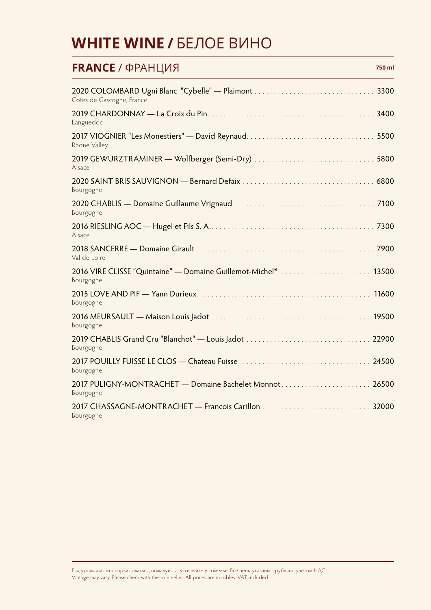#### **WHITE WINE /**БЕЛОЕ ВИНО

| <b>FRANCE / ФРАНЦИЯ</b><br>750 ml                                                                                                   |  |
|-------------------------------------------------------------------------------------------------------------------------------------|--|
| Cotes de Gascogne, France                                                                                                           |  |
| Languedoc                                                                                                                           |  |
| Rhone Valley                                                                                                                        |  |
| Alsace                                                                                                                              |  |
| Bourgogne                                                                                                                           |  |
| Bourgogne                                                                                                                           |  |
| Alsace                                                                                                                              |  |
| Val de Loire                                                                                                                        |  |
| 2016 VIRE CLISSE "Quintaine" — Domaine Guillemot-Michel* 13500<br>Bourgogne                                                         |  |
| 11600<br>Bourgogne                                                                                                                  |  |
| 2016 MEURSAULT — Maison Louis Jadot (Alexandre Letter Alexandre Letter Alexandre Letter Alexandre Letter Alex<br>19500<br>Bourgogne |  |
| Bourgogne                                                                                                                           |  |
| 24500<br>Bourgogne                                                                                                                  |  |
| Bourgogne                                                                                                                           |  |
| Bourgogne                                                                                                                           |  |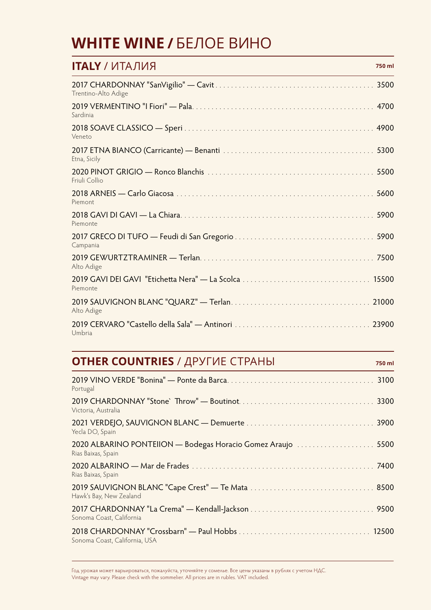#### **WHITE WINE /**БЕЛОЕ ВИНО

| <b>ITALY / ИТАЛИЯ</b><br>750 ml |
|---------------------------------|
| Trentino-Alto Adige             |
| Sardinia                        |
| Veneto                          |
| Etna, Sicily                    |
| Friuli Collio                   |
| Piemont                         |
| Piemonte                        |
| Campania                        |
| Alto Adige                      |
| Piemonte                        |
| Alto Adige                      |
| 23900<br>Umbria                 |

#### **OTHER COUNTRIES** / ДРУГИЕ СТРАНЫ **750 ml**

| Portugal                                                                                                                                      |
|-----------------------------------------------------------------------------------------------------------------------------------------------|
| Victoria, Australia                                                                                                                           |
| Yecla DO, Spain                                                                                                                               |
| 2020 ALBARINO PONTEIION — Bodegas Horacio Gomez Araujo [11] [11] 2020 ALBARINO PONTEIION — Bodegas Horacio Gomez Araujo<br>Rias Baixas, Spain |
| Rias Baixas, Spain                                                                                                                            |
| Hawk's Bay, New Zealand                                                                                                                       |
| Sonoma Coast, California                                                                                                                      |
| Sonoma Coast, California, USA                                                                                                                 |

Год урожая может варьироваться, пожалуйста, уточняйте у сомелье. Все цены указаны в рублях с учетом НДС. Vintage may vary. Please check with the sommelier. All prices are in rubles. VAT included.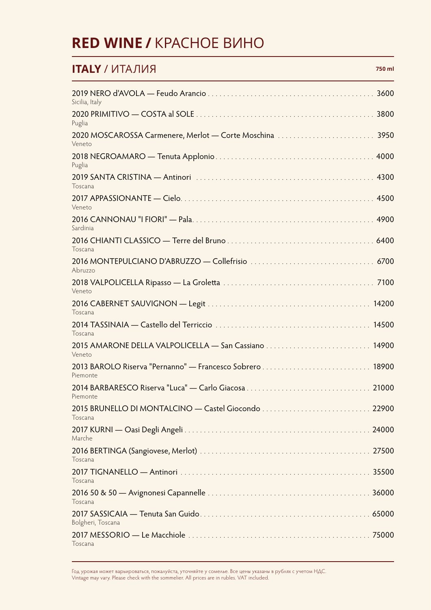#### **RED WINE /**КРАСНОЕ ВИНО

#### **ITALY** / ИТАЛИЯ **750 ml**

| 3600<br>Sicilia, Italy                                                  |  |
|-------------------------------------------------------------------------|--|
| 3800<br>Puglia                                                          |  |
| 2020 MOSCAROSSA Carmenere, Merlot — Corte Moschina<br>3950<br>Veneto    |  |
| Puglia                                                                  |  |
| Toscana                                                                 |  |
| Veneto                                                                  |  |
| Sardinia                                                                |  |
| Toscana                                                                 |  |
| Abruzzo                                                                 |  |
| Veneto                                                                  |  |
| Toscana                                                                 |  |
| Toscana                                                                 |  |
| 14900<br>Veneto                                                         |  |
| 2013 BAROLO Riserva "Pernanno" - Francesco Sobrero<br>18900<br>Piemonte |  |
| 21000<br>Piemonte                                                       |  |
| Toscana                                                                 |  |
| 24000<br>Marche                                                         |  |
| Toscana                                                                 |  |
| 35500<br>Toscana                                                        |  |
| 36000<br>Toscana                                                        |  |
| Bolgheri, Toscana                                                       |  |
| Toscana                                                                 |  |

Год урожая может варьироваться, пожалуйста, уточняйте у сомелье. Все цены указаны в рублях с учетом НДС. Vintage may vary. Please check with the sommelier. All prices are in rubles. VAT included.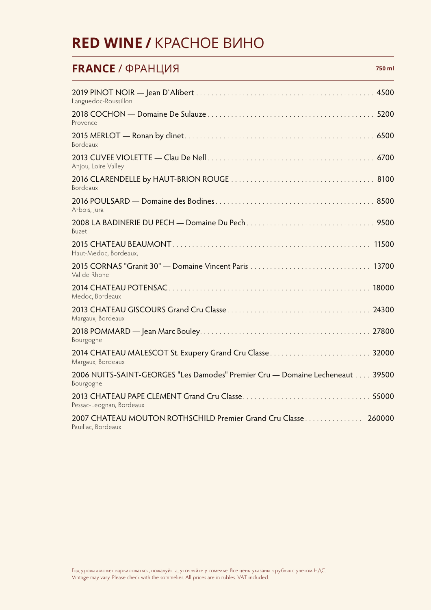#### **RED WINE /**КРАСНОЕ ВИНО

#### **FRANCE** / ФРАНЦИЯ **750 ml**

| Languedoc-Roussillon                                                                        |
|---------------------------------------------------------------------------------------------|
| Provence                                                                                    |
| Bordeaux                                                                                    |
| Anjou, Loire Valley                                                                         |
| Bordeaux                                                                                    |
| Arbois, Jura                                                                                |
| Buzet                                                                                       |
| 11500<br>Haut-Medoc, Bordeaux,                                                              |
| 13700<br>Val de Rhone                                                                       |
| 18000<br>Medoc, Bordeaux                                                                    |
| Margaux, Bordeaux                                                                           |
| Bourgogne                                                                                   |
| Margaux, Bordeaux                                                                           |
| 2006 NUITS-SAINT-GEORGES "Les Damodes" Premier Cru - Domaine Lecheneaut  39500<br>Bourgogne |
| Pessac-Leognan, Bordeaux                                                                    |
| 2007 CHATEAU MOUTON ROTHSCHILD Premier Grand Cru Classe<br>260000<br>Pauillac, Bordeaux     |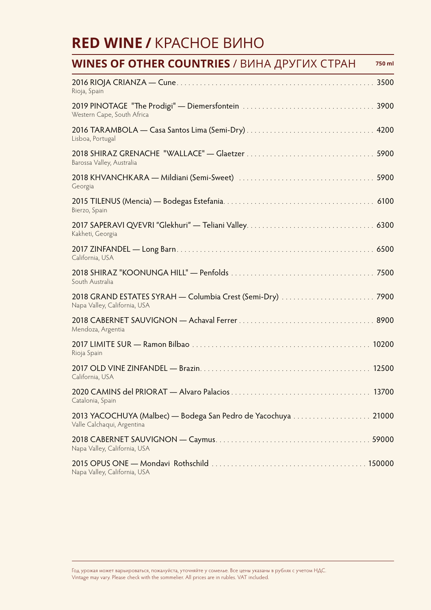#### **RED WINE /**КРАСНОЕ ВИНО

| <b>WINES OF OTHER COUNTRIES /</b> ВИНА ДРУГИХ СТРАН                                         | 750 ml |
|---------------------------------------------------------------------------------------------|--------|
| Rioja, Spain                                                                                |        |
| Western Cape, South Africa                                                                  |        |
| Lisboa, Portugal                                                                            |        |
| Barossa Valley, Australia                                                                   |        |
| Georgia                                                                                     |        |
| Bierzo, Spain                                                                               |        |
| Kakheti, Georgia                                                                            |        |
| California, USA                                                                             |        |
| South Australia                                                                             |        |
| Napa Valley, California, USA                                                                |        |
| Mendoza, Argentia                                                                           |        |
| Rioja Spain                                                                                 |        |
| California, USA                                                                             | 12500  |
| Catalonia, Spain                                                                            |        |
| 2013 YACOCHUYA (Malbec) — Bodega San Pedro de Yacochuya 21000<br>Valle Calchaqui, Argentina |        |
| Napa Valley, California, USA                                                                |        |
| Napa Valley, California, USA                                                                |        |

Год урожая может варьироваться, пожалуйста, уточняйте у сомелье. Все цены указаны в рублях с учетом НДС. Vintage may vary. Please check with the sommelier. All prices are in rubles. VAT included.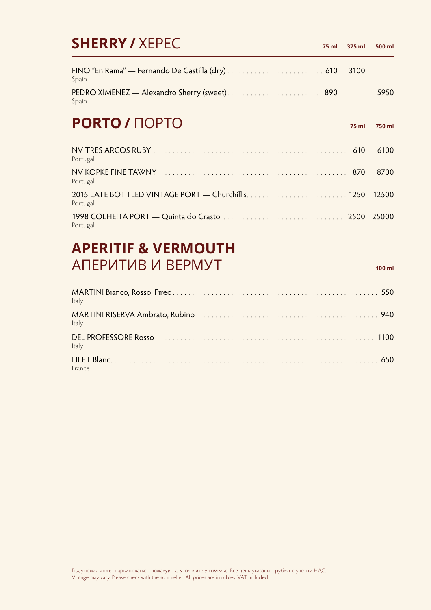| <b>SHERRY / XEPEC</b>                                 | 75 ml | 375 ml | 500 ml |
|-------------------------------------------------------|-------|--------|--------|
| Spain                                                 |       | 3100   |        |
| PEDRO XIMENEZ — Alexandro Sherry (sweet) 890<br>Spain |       |        | 5950   |
| <b>PORTO / HOPTO</b>                                  |       | 75 ml  | 750 ml |
| Portugal                                              |       |        | 6100   |

| Portugal |  |
|----------|--|
| Portugal |  |
| Portugal |  |

#### **APERITIF & VERMOUTH** АПЕРИТИВ И ВЕРМУТ **100 ml**

| Italy  |  |
|--------|--|
| Italy  |  |
| Italy  |  |
| France |  |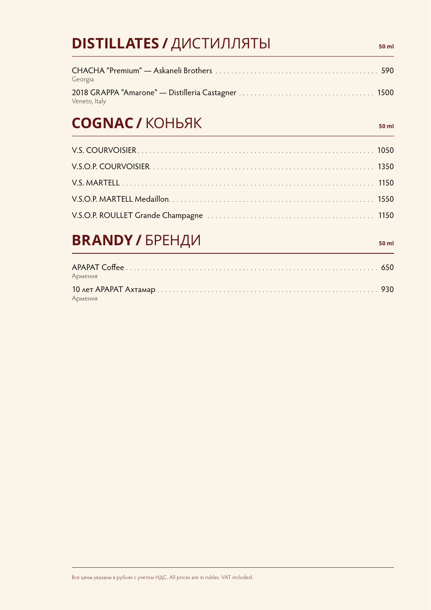| <b>DISTILLATES / ДИСТИЛЛЯТЫ</b> | 50 ml |
|---------------------------------|-------|
| Georgia                         |       |
| Veneto, Italy                   |       |
| <b>COGNAC / KOHBAK</b>          | 50 ml |
|                                 |       |
|                                 |       |
|                                 |       |
|                                 |       |
|                                 |       |
| <b>BRANDY / БРЕНДИ</b>          | 50 ml |
| Армения                         |       |
|                                 |       |

Армения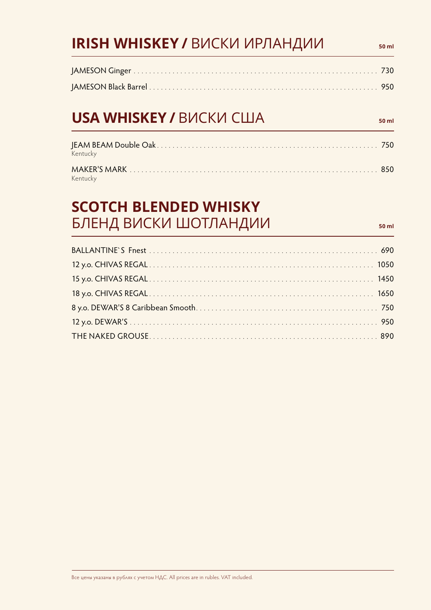## **IRISH WHISKEY / ВИСКИ ИРЛАНДИИ БОЛН**

#### **USA WHISKEY / ВИСКИ США 50 ml** so ml

| Kentucky |  |
|----------|--|
| Kentucky |  |

#### **SCOTCH BLENDED WHISKY** БЛЕНД ВИСКИ ШОТЛАНДИИ **1990 година 10 година 10 година 10 година**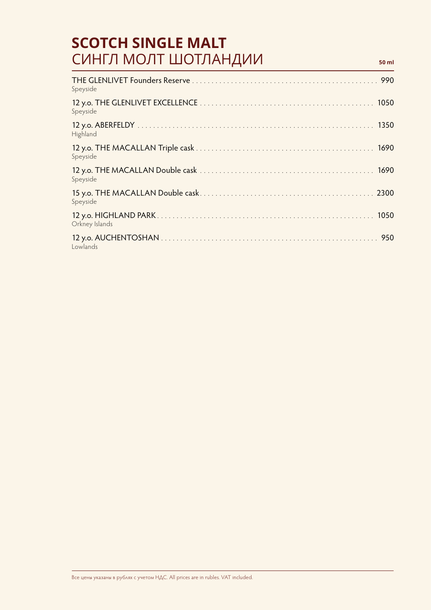#### **SCOTCH SINGLE MALT** СИНГЛ МОЛТ ШОТЛАНДИИ **50 ml**

| Speyside       |
|----------------|
| Speyside       |
| Highland       |
| Speyside       |
| Speyside       |
| Speyside       |
| Orkney Islands |
| Lowlands       |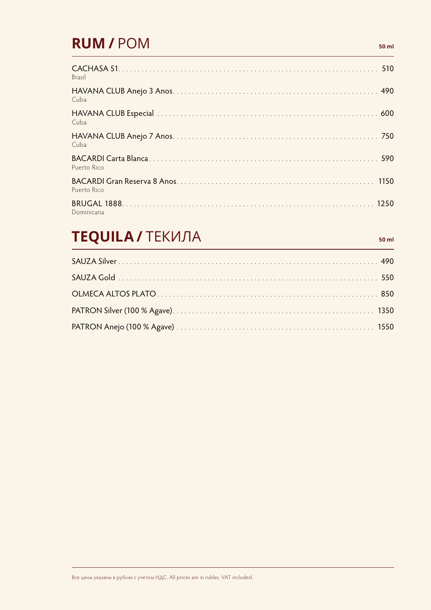#### **RUM/** POM **50 ml**

| <b>Brasil</b> |
|---------------|
| Cuba          |
| Cuba          |
| Cuba          |
| Puerto Rico   |
| Puerto Rico   |
| Dominicana    |

## **TEQUILA /**ТЕКИЛА **50 ml**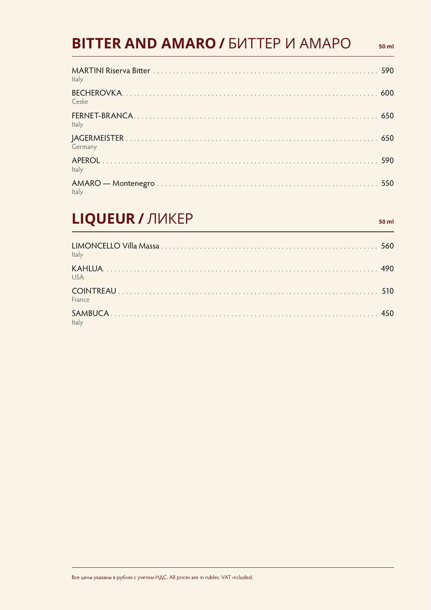#### **BITTER AND AMARO / EVITTEP VI AMAPO**

| Italy   |  |
|---------|--|
| Ceske   |  |
| Italy   |  |
| Germany |  |
| Italy   |  |
| Italy   |  |

## LIQUEUR / ЛИКЕР

 $50$  ml

 $50$  ml

| Italy        |  |
|--------------|--|
| USA          |  |
| France       |  |
| <b>Italy</b> |  |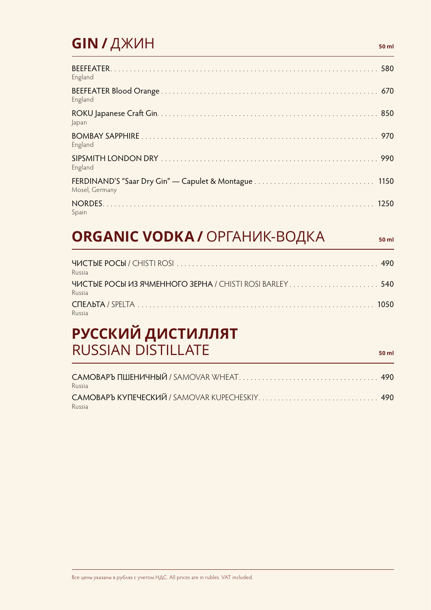#### GIN / ДЖИН

| England        |
|----------------|
| England        |
| Japan          |
| England        |
| England        |
| Mosel, Germany |
| Spain          |

## **ORGANIC VODKA / ОРГАНИК-ВОДКА**

50 ml

50 ml

| Russia |  |
|--------|--|
| Russia |  |
| Russia |  |

#### РУССКИЙ ДИСТИЛЛЯТ **RUSSIAN DISTILLATE**

САМОВАРЪ ПШЕНИЧНЫЙ / SAMOVAR WHEAT..........................  $\ldots$  490 Russia Russia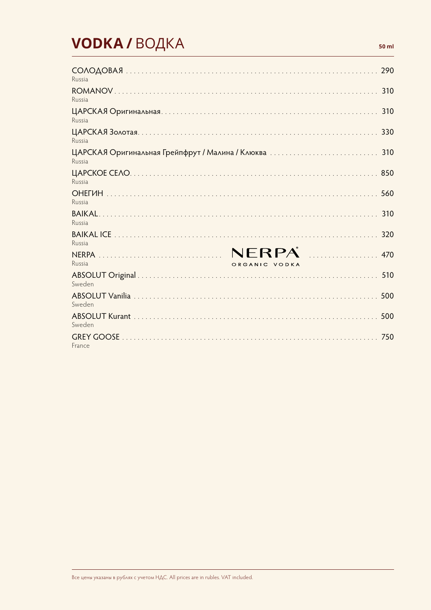## **VODKA/BOДКА**

| Russia                                                     | 290 |
|------------------------------------------------------------|-----|
| Russia                                                     | 310 |
| Russia                                                     | 310 |
| Russia                                                     | 330 |
| ЦАРСКАЯ Оригинальная Грейпфрут / Малина / Клюква<br>Russia | 310 |
| 850<br>Russia                                              |     |
| 560<br>Russia                                              |     |
| Russia                                                     | 310 |
| Russia                                                     | 320 |
| NERPA<br>.<br>470<br>Russia<br>ORGANIC VODKA               |     |
| Sweden                                                     | 510 |
| 500<br>Sweden                                              |     |
| 500<br>Sweden                                              |     |
| France                                                     | 750 |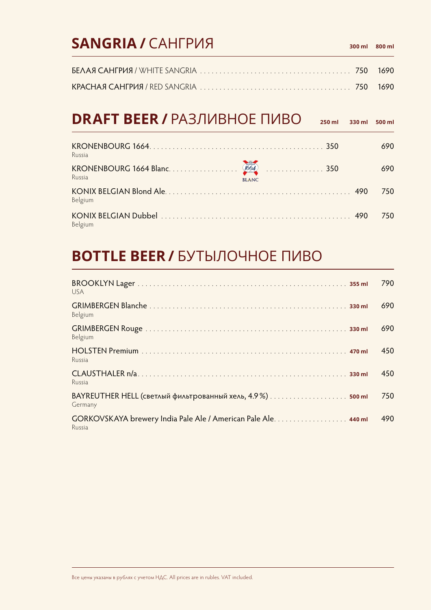#### **SANGRIA** / САНГРИЯ **300 ml 300 ml 300 ml**

## **DRAFT BEER /**РАЗЛИВНОЕ ПИВО **250 ml 330 ml 500 ml**

| Russia  | 350          | 690 |
|---------|--------------|-----|
| Russia  | <b>BLANC</b> | 690 |
| Belgium |              | 750 |
| Belgium |              | 750 |

#### **BOTTLE BEER /**БУТЫЛОЧНОЕ ПИВО

| <b>USA</b>                                                               | 790 |
|--------------------------------------------------------------------------|-----|
| Belgium                                                                  | 690 |
| Belgium                                                                  | 690 |
| Russia                                                                   | 450 |
| Russia                                                                   | 450 |
| Germany                                                                  | 750 |
| GORKOVSKAYA brewery India Pale Ale / American Pale Ale. 440 ml<br>Russia | 490 |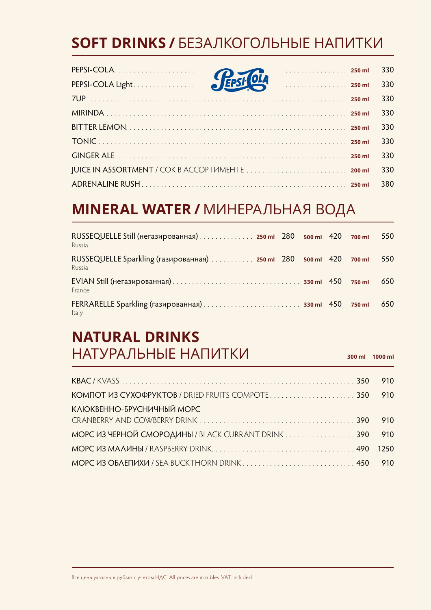## **SOFT DRINKS /**БЕЗАЛКОГОЛЬНЫЕ НАПИТКИ

|                   |  | 330 |
|-------------------|--|-----|
| PEPSI-COLA Light. |  | 330 |
|                   |  | 330 |
|                   |  | 330 |
|                   |  | 330 |
|                   |  | 330 |
|                   |  | 330 |
|                   |  | 330 |
|                   |  | 380 |

#### **MINERAL WATER /**МИНЕРАЛЬНАЯ ВОДА

| RUSSEQUELLE Still (негазированная) 250 ml 280 500 ml 420 700 ml<br>Russia    |  |        | 550 |
|------------------------------------------------------------------------------|--|--------|-----|
| RUSSEQUELLE Sparkling (газированная)  250 ml 280 500 ml 420 700 ml<br>Russia |  |        | 550 |
| France                                                                       |  | 750 ml | 650 |
| Italy                                                                        |  | 750 ml | 650 |

#### **NATURAL DRINKS** НАТУРАЛЬНЫЕ НАПИТКИ **300 ml 1000 ml**

КВАС / KVASS ............................................................ 350 910 КОМПОТ ИЗ СУХОФРУКТОВ / DRIED FRUITS COMPOTE ...................... 350 910 КЛЮКВЕННО-БРУСНИЧНЫЙ МОРС CRANBERRY AND COWBERRY DRINK ........................................ 390 910 МОРС ИЗ ЧЕРНОЙ СМОРОДИНЫ / BLACK CURRANT DRINK . . . . . . . . . . . . . . . . 390 910 МОРС ИЗ МАЛИНЫ / RASPBERRY DRINK ..................................... 490 1250 МОРС ИЗ ОБЛЕПИХИ / SEA BUCKTHORN DRINK ............................. 450 910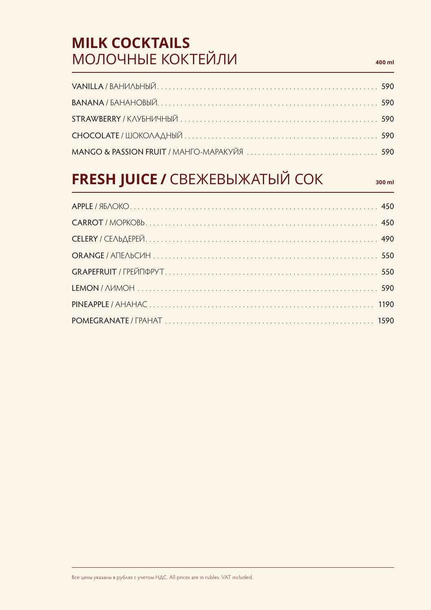## **MILK COCKTAILS** МОЛОЧНЫЕ КОКТЕЙЛИ **400 ml**

# **FRESH JUICE /**СВЕЖЕВЫЖАТЫЙ СОК **300 ml**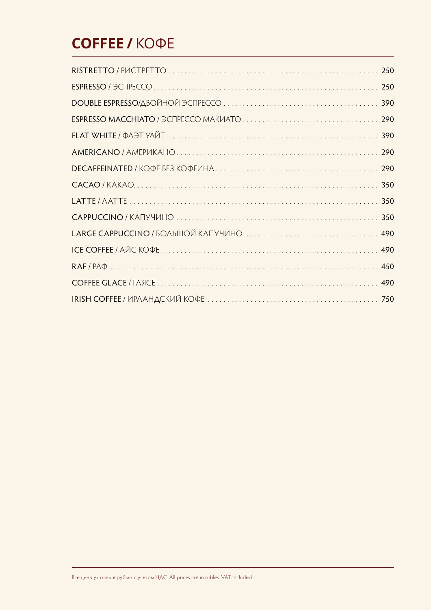## **COFFEE /**КОФЕ